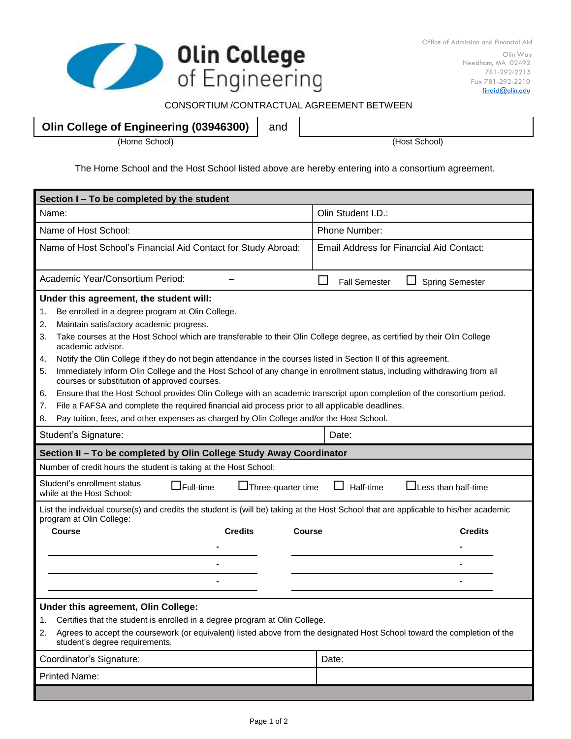

## CONSORTIUM /CONTRACTUAL AGREEMENT BETWEEN

## **Olin College of Engineering (03946300)** and

(Home School) (Host School)

The Home School and the Host School listed above are hereby entering into a consortium agreement.

| Section I - To be completed by the student                                                                                                                                   |                                                |  |  |
|------------------------------------------------------------------------------------------------------------------------------------------------------------------------------|------------------------------------------------|--|--|
| Name:                                                                                                                                                                        | Olin Student I.D.:                             |  |  |
| Name of Host School:                                                                                                                                                         | Phone Number:                                  |  |  |
| Name of Host School's Financial Aid Contact for Study Abroad:                                                                                                                | Email Address for Financial Aid Contact:       |  |  |
| Academic Year/Consortium Period:                                                                                                                                             | <b>Fall Semester</b><br><b>Spring Semester</b> |  |  |
| Under this agreement, the student will:                                                                                                                                      |                                                |  |  |
| Be enrolled in a degree program at Olin College.<br>1.                                                                                                                       |                                                |  |  |
| Maintain satisfactory academic progress.<br>2.                                                                                                                               |                                                |  |  |
| Take courses at the Host School which are transferable to their Olin College degree, as certified by their Olin College<br>3.<br>academic advisor.                           |                                                |  |  |
| Notify the Olin College if they do not begin attendance in the courses listed in Section II of this agreement.<br>4.                                                         |                                                |  |  |
| Immediately inform Olin College and the Host School of any change in enrollment status, including withdrawing from all<br>5.<br>courses or substitution of approved courses. |                                                |  |  |
| Ensure that the Host School provides Olin College with an academic transcript upon completion of the consortium period.<br>6.                                                |                                                |  |  |
| File a FAFSA and complete the required financial aid process prior to all applicable deadlines.<br>7.                                                                        |                                                |  |  |
| Pay tuition, fees, and other expenses as charged by Olin College and/or the Host School.<br>8.                                                                               |                                                |  |  |
| Student's Signature:                                                                                                                                                         | Date:                                          |  |  |
| Section II - To be completed by Olin College Study Away Coordinator                                                                                                          |                                                |  |  |
| Number of credit hours the student is taking at the Host School:                                                                                                             |                                                |  |  |
| Student's enrollment status<br>$\square$ Full-time<br>□Three-quarter time<br>Half-time<br>$\Box$ Less than half-time<br>while at the Host School:                            |                                                |  |  |
| List the individual course(s) and credits the student is (will be) taking at the Host School that are applicable to his/her academic<br>program at Olin College:             |                                                |  |  |
| <b>Course</b><br><b>Credits</b><br><b>Course</b>                                                                                                                             | <b>Credits</b>                                 |  |  |
|                                                                                                                                                                              |                                                |  |  |
|                                                                                                                                                                              |                                                |  |  |
|                                                                                                                                                                              |                                                |  |  |
|                                                                                                                                                                              |                                                |  |  |
| Under this agreement, Olin College:                                                                                                                                          |                                                |  |  |
| Certifies that the student is enrolled in a degree program at Olin College.<br>1.                                                                                            |                                                |  |  |
| Agrees to accept the coursework (or equivalent) listed above from the designated Host School toward the completion of the<br>2.<br>student's degree requirements.            |                                                |  |  |
| Coordinator's Signature:                                                                                                                                                     | Date:                                          |  |  |
| <b>Printed Name:</b>                                                                                                                                                         |                                                |  |  |